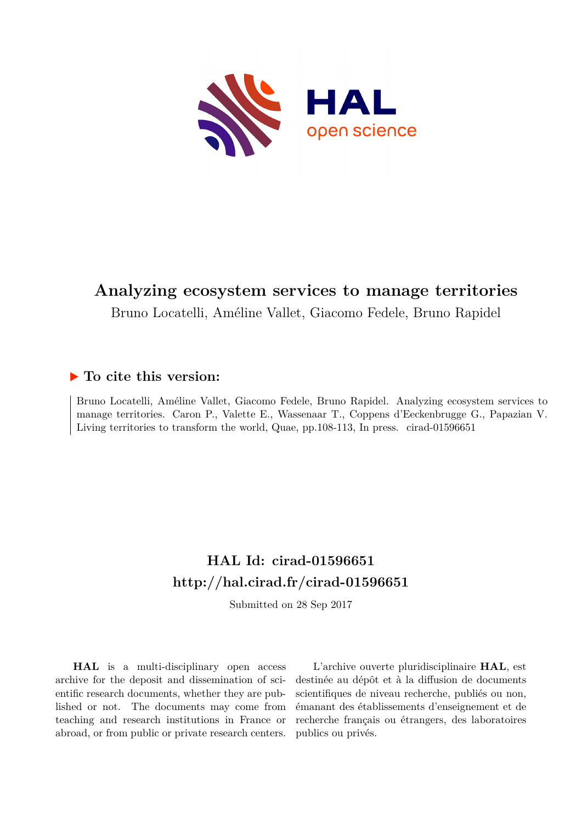

# **Analyzing ecosystem services to manage territories**

Bruno Locatelli, Améline Vallet, Giacomo Fedele, Bruno Rapidel

## **To cite this version:**

Bruno Locatelli, Améline Vallet, Giacomo Fedele, Bruno Rapidel. Analyzing ecosystem services to manage territories. Caron P., Valette E., Wassenaar T., Coppens d'Eeckenbrugge G., Papazian V. Living territories to transform the world, Quae,  $pp.108-113$ , In press. cirad-01596651

# **HAL Id: cirad-01596651 <http://hal.cirad.fr/cirad-01596651>**

Submitted on 28 Sep 2017

**HAL** is a multi-disciplinary open access archive for the deposit and dissemination of scientific research documents, whether they are published or not. The documents may come from teaching and research institutions in France or abroad, or from public or private research centers.

L'archive ouverte pluridisciplinaire **HAL**, est destinée au dépôt et à la diffusion de documents scientifiques de niveau recherche, publiés ou non, émanant des établissements d'enseignement et de recherche français ou étrangers, des laboratoires publics ou privés.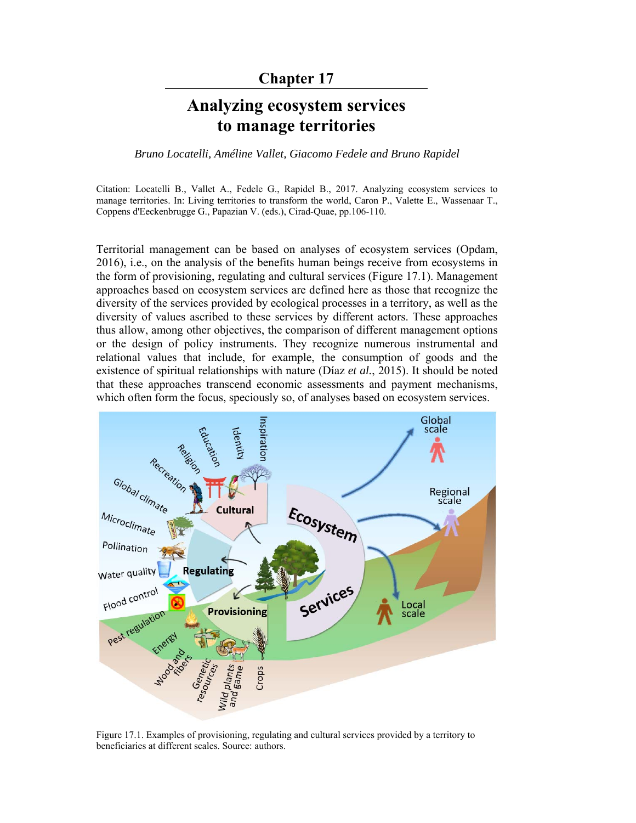### **Chapter 17**

# **Analyzing ecosystem services to manage territories**

*Bruno Locatelli, Améline Vallet, Giacomo Fedele and Bruno Rapidel* 

Citation: Locatelli B., Vallet A., Fedele G., Rapidel B., 2017. Analyzing ecosystem services to manage territories. In: Living territories to transform the world, Caron P., Valette E., Wassenaar T., Coppens d'Eeckenbrugge G., Papazian V. (eds.), Cirad-Quae, pp.106-110.

Territorial management can be based on analyses of ecosystem services (Opdam, 2016), i.e., on the analysis of the benefits human beings receive from ecosystems in the form of provisioning, regulating and cultural services (Figure 17.1). Management approaches based on ecosystem services are defined here as those that recognize the diversity of the services provided by ecological processes in a territory, as well as the diversity of values ascribed to these services by different actors. These approaches thus allow, among other objectives, the comparison of different management options or the design of policy instruments. They recognize numerous instrumental and relational values that include, for example, the consumption of goods and the existence of spiritual relationships with nature (Díaz *et al.*, 2015). It should be noted that these approaches transcend economic assessments and payment mechanisms, which often form the focus, speciously so, of analyses based on ecosystem services.



Figure 17.1. Examples of provisioning, regulating and cultural services provided by a territory to beneficiaries at different scales. Source: authors.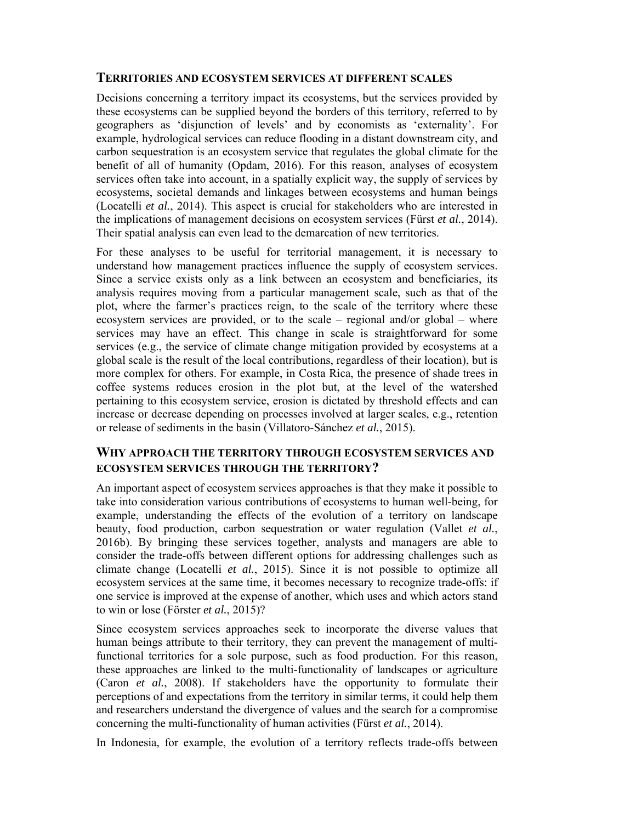#### **TERRITORIES AND ECOSYSTEM SERVICES AT DIFFERENT SCALES**

Decisions concerning a territory impact its ecosystems, but the services provided by these ecosystems can be supplied beyond the borders of this territory, referred to by geographers as 'disjunction of levels' and by economists as 'externality'. For example, hydrological services can reduce flooding in a distant downstream city, and carbon sequestration is an ecosystem service that regulates the global climate for the benefit of all of humanity (Opdam, 2016). For this reason, analyses of ecosystem services often take into account, in a spatially explicit way, the supply of services by ecosystems, societal demands and linkages between ecosystems and human beings (Locatelli *et al.*, 2014). This aspect is crucial for stakeholders who are interested in the implications of management decisions on ecosystem services (Fürst *et al.*, 2014). Their spatial analysis can even lead to the demarcation of new territories.

For these analyses to be useful for territorial management, it is necessary to understand how management practices influence the supply of ecosystem services. Since a service exists only as a link between an ecosystem and beneficiaries, its analysis requires moving from a particular management scale, such as that of the plot, where the farmer's practices reign, to the scale of the territory where these ecosystem services are provided, or to the scale – regional and/or global – where services may have an effect. This change in scale is straightforward for some services (e.g., the service of climate change mitigation provided by ecosystems at a global scale is the result of the local contributions, regardless of their location), but is more complex for others. For example, in Costa Rica, the presence of shade trees in coffee systems reduces erosion in the plot but, at the level of the watershed pertaining to this ecosystem service, erosion is dictated by threshold effects and can increase or decrease depending on processes involved at larger scales, e.g., retention or release of sediments in the basin (Villatoro-Sánchez *et al.*, 2015).

#### **WHY APPROACH THE TERRITORY THROUGH ECOSYSTEM SERVICES AND ECOSYSTEM SERVICES THROUGH THE TERRITORY?**

An important aspect of ecosystem services approaches is that they make it possible to take into consideration various contributions of ecosystems to human well-being, for example, understanding the effects of the evolution of a territory on landscape beauty, food production, carbon sequestration or water regulation (Vallet *et al.*, 2016b). By bringing these services together, analysts and managers are able to consider the trade-offs between different options for addressing challenges such as climate change (Locatelli *et al.*, 2015). Since it is not possible to optimize all ecosystem services at the same time, it becomes necessary to recognize trade-offs: if one service is improved at the expense of another, which uses and which actors stand to win or lose (Förster *et al.*, 2015)?

Since ecosystem services approaches seek to incorporate the diverse values that human beings attribute to their territory, they can prevent the management of multifunctional territories for a sole purpose, such as food production. For this reason, these approaches are linked to the multi-functionality of landscapes or agriculture (Caron *et al.*, 2008). If stakeholders have the opportunity to formulate their perceptions of and expectations from the territory in similar terms, it could help them and researchers understand the divergence of values and the search for a compromise concerning the multi-functionality of human activities (Fürst *et al.*, 2014).

In Indonesia, for example, the evolution of a territory reflects trade-offs between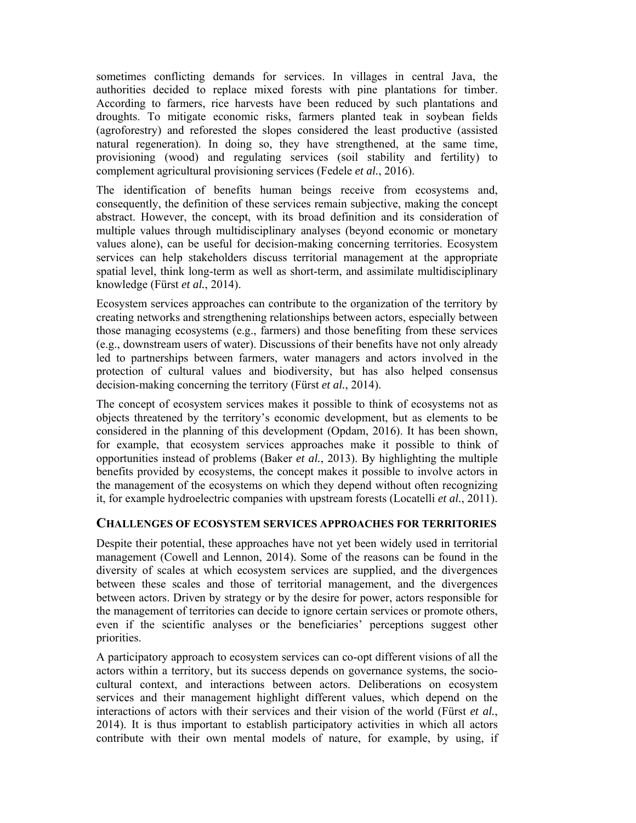sometimes conflicting demands for services. In villages in central Java, the authorities decided to replace mixed forests with pine plantations for timber. According to farmers, rice harvests have been reduced by such plantations and droughts. To mitigate economic risks, farmers planted teak in soybean fields (agroforestry) and reforested the slopes considered the least productive (assisted natural regeneration). In doing so, they have strengthened, at the same time, provisioning (wood) and regulating services (soil stability and fertility) to complement agricultural provisioning services (Fedele *et al.*, 2016).

The identification of benefits human beings receive from ecosystems and, consequently, the definition of these services remain subjective, making the concept abstract. However, the concept, with its broad definition and its consideration of multiple values through multidisciplinary analyses (beyond economic or monetary values alone), can be useful for decision-making concerning territories. Ecosystem services can help stakeholders discuss territorial management at the appropriate spatial level, think long-term as well as short-term, and assimilate multidisciplinary knowledge (Fürst *et al.*, 2014).

Ecosystem services approaches can contribute to the organization of the territory by creating networks and strengthening relationships between actors, especially between those managing ecosystems (e.g., farmers) and those benefiting from these services (e.g., downstream users of water). Discussions of their benefits have not only already led to partnerships between farmers, water managers and actors involved in the protection of cultural values and biodiversity, but has also helped consensus decision-making concerning the territory (Fürst *et al.*, 2014).

The concept of ecosystem services makes it possible to think of ecosystems not as objects threatened by the territory's economic development, but as elements to be considered in the planning of this development (Opdam, 2016). It has been shown, for example, that ecosystem services approaches make it possible to think of opportunities instead of problems (Baker *et al.*, 2013). By highlighting the multiple benefits provided by ecosystems, the concept makes it possible to involve actors in the management of the ecosystems on which they depend without often recognizing it, for example hydroelectric companies with upstream forests (Locatelli *et al.*, 2011).

#### **CHALLENGES OF ECOSYSTEM SERVICES APPROACHES FOR TERRITORIES**

Despite their potential, these approaches have not yet been widely used in territorial management (Cowell and Lennon, 2014). Some of the reasons can be found in the diversity of scales at which ecosystem services are supplied, and the divergences between these scales and those of territorial management, and the divergences between actors. Driven by strategy or by the desire for power, actors responsible for the management of territories can decide to ignore certain services or promote others, even if the scientific analyses or the beneficiaries' perceptions suggest other priorities.

A participatory approach to ecosystem services can co-opt different visions of all the actors within a territory, but its success depends on governance systems, the sociocultural context, and interactions between actors. Deliberations on ecosystem services and their management highlight different values, which depend on the interactions of actors with their services and their vision of the world (Fürst *et al.*, 2014). It is thus important to establish participatory activities in which all actors contribute with their own mental models of nature, for example, by using, if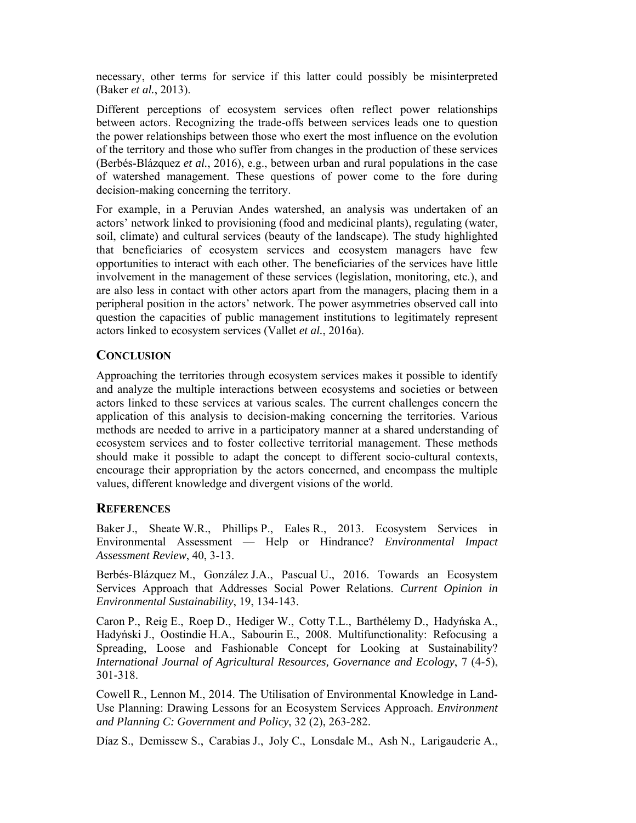necessary, other terms for service if this latter could possibly be misinterpreted (Baker *et al.*, 2013).

Different perceptions of ecosystem services often reflect power relationships between actors. Recognizing the trade-offs between services leads one to question the power relationships between those who exert the most influence on the evolution of the territory and those who suffer from changes in the production of these services (Berbés-Blázquez *et al.*, 2016), e.g., between urban and rural populations in the case of watershed management. These questions of power come to the fore during decision-making concerning the territory.

For example, in a Peruvian Andes watershed, an analysis was undertaken of an actors' network linked to provisioning (food and medicinal plants), regulating (water, soil, climate) and cultural services (beauty of the landscape). The study highlighted that beneficiaries of ecosystem services and ecosystem managers have few opportunities to interact with each other. The beneficiaries of the services have little involvement in the management of these services (legislation, monitoring, etc.), and are also less in contact with other actors apart from the managers, placing them in a peripheral position in the actors' network. The power asymmetries observed call into question the capacities of public management institutions to legitimately represent actors linked to ecosystem services (Vallet *et al.*, 2016a).

#### **CONCLUSION**

Approaching the territories through ecosystem services makes it possible to identify and analyze the multiple interactions between ecosystems and societies or between actors linked to these services at various scales. The current challenges concern the application of this analysis to decision-making concerning the territories. Various methods are needed to arrive in a participatory manner at a shared understanding of ecosystem services and to foster collective territorial management. These methods should make it possible to adapt the concept to different socio-cultural contexts, encourage their appropriation by the actors concerned, and encompass the multiple values, different knowledge and divergent visions of the world.

#### **REFERENCES**

Baker J., Sheate W.R., Phillips P., Eales R., 2013. Ecosystem Services in Environmental Assessment — Help or Hindrance? *Environmental Impact Assessment Review*, 40, 3-13.

Berbés-Blázquez M., González J.A., Pascual U., 2016. Towards an Ecosystem Services Approach that Addresses Social Power Relations. *Current Opinion in Environmental Sustainability*, 19, 134-143.

Caron P., Reig E., Roep D., Hediger W., Cotty T.L., Barthélemy D., Hadyńska A., Hadyński J., Oostindie H.A., Sabourin E., 2008. Multifunctionality: Refocusing a Spreading, Loose and Fashionable Concept for Looking at Sustainability? *International Journal of Agricultural Resources, Governance and Ecology*, 7 (4-5), 301-318.

Cowell R., Lennon M., 2014. The Utilisation of Environmental Knowledge in Land-Use Planning: Drawing Lessons for an Ecosystem Services Approach. *Environment and Planning C: Government and Policy*, 32 (2), 263-282.

Díaz S., Demissew S., Carabias J., Joly C., Lonsdale M., Ash N., Larigauderie A.,